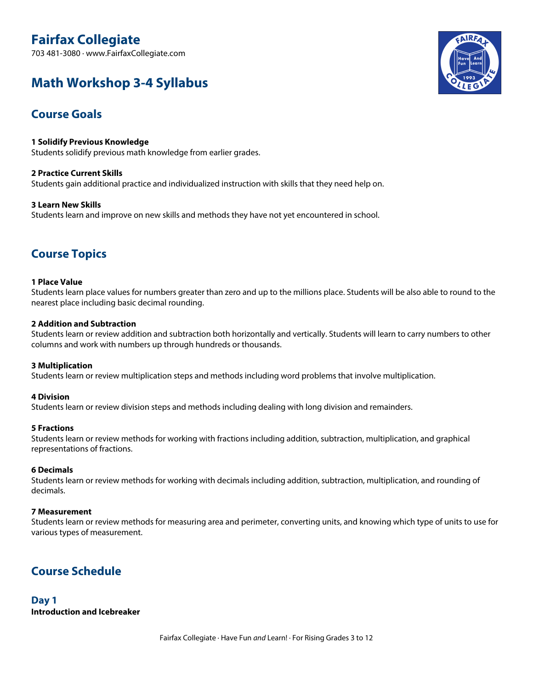# **Fairfax Collegiate**

703 481-3080 · www.FairfaxCollegiate.com

## **Math Workshop 3-4 Syllabus**



## **Course Goals**

**1 Solidify Previous Knowledge** Students solidify previous math knowledge from earlier grades.

**2 Practice Current Skills** Students gain additional practice and individualized instruction with skills that they need help on.

#### **3 Learn New Skills**

Students learn and improve on new skills and methods they have not yet encountered in school.

## **Course Topics**

#### **1 Place Value**

Students learn place values for numbers greater than zero and up to the millions place. Students will be also able to round to the nearest place including basic decimal rounding.

#### **2 Addition and Subtraction**

Students learn or review addition and subtraction both horizontally and vertically. Students will learn to carry numbers to other columns and work with numbers up through hundreds or thousands.

#### **3 Multiplication**

Students learn or review multiplication steps and methods including word problems that involve multiplication.

#### **4 Division**

Students learn or review division steps and methods including dealing with long division and remainders.

#### **5 Fractions**

Students learn or review methods for working with fractions including addition, subtraction, multiplication, and graphical representations of fractions.

#### **6 Decimals**

Students learn or review methods for working with decimals including addition, subtraction, multiplication, and rounding of decimals.

#### **7 Measurement**

Students learn or review methods for measuring area and perimeter, converting units, and knowing which type of units to use for various types of measurement.

### **Course Schedule**

**Day 1 Introduction and Icebreaker**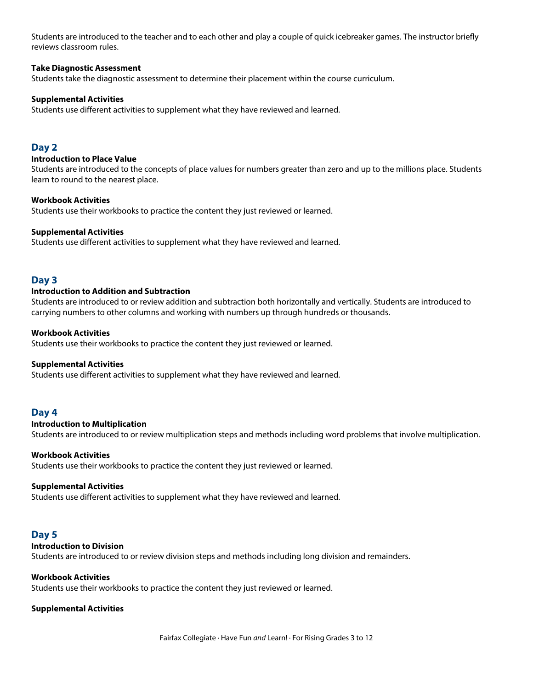Students are introduced to the teacher and to each other and play a couple of quick icebreaker games. The instructor briefly reviews classroom rules.

#### **Take Diagnostic Assessment**

Students take the diagnostic assessment to determine their placement within the course curriculum.

#### **Supplemental Activities**

Students use different activities to supplement what they have reviewed and learned.

#### **Day 2**

#### **Introduction to Place Value**

Students are introduced to the concepts of place values for numbers greater than zero and up to the millions place. Students learn to round to the nearest place.

#### **Workbook Activities**

Students use their workbooks to practice the content they just reviewed or learned.

#### **Supplemental Activities**

Students use different activities to supplement what they have reviewed and learned.

#### **Day 3**

#### **Introduction to Addition and Subtraction**

Students are introduced to or review addition and subtraction both horizontally and vertically. Students are introduced to carrying numbers to other columns and working with numbers up through hundreds or thousands.

#### **Workbook Activities**

Students use their workbooks to practice the content they just reviewed or learned.

#### **Supplemental Activities**

Students use different activities to supplement what they have reviewed and learned.

#### **Day 4**

#### **Introduction to Multiplication**

Students are introduced to or review multiplication steps and methods including word problems that involve multiplication.

#### **Workbook Activities**

Students use their workbooks to practice the content they just reviewed or learned.

#### **Supplemental Activities**

Students use different activities to supplement what they have reviewed and learned.

#### **Day 5**

#### **Introduction to Division**

Students are introduced to or review division steps and methods including long division and remainders.

#### **Workbook Activities**

Students use their workbooks to practice the content they just reviewed or learned.

#### **Supplemental Activities**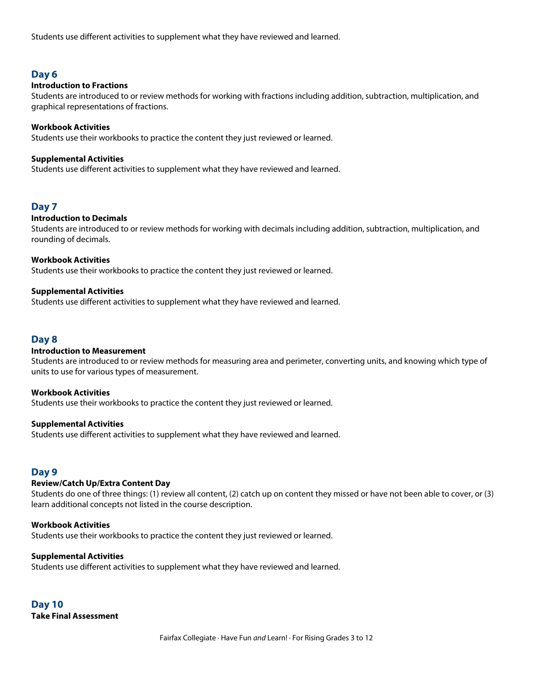Students use different activities to supplement what they have reviewed and learned.

#### **Day 6**

#### **Introduction to Fractions**

Students are introduced to or review methods for working with fractions including addition, subtraction, multiplication, and graphical representations of fractions.

#### **Workbook Activities**

Students use their workbooks to practice the content they just reviewed or learned.

#### **Supplemental Activities**

Students use different activities to supplement what they have reviewed and learned.

#### **Day 7**

#### **Introduction to Decimals**

Students are introduced to or review methods for working with decimals including addition, subtraction, multiplication, and rounding of decimals.

#### **Workbook Activities**

Students use their workbooks to practice the content they just reviewed or learned.

#### **Supplemental Activities**

Students use different activities to supplement what they have reviewed and learned.

#### **Day 8**

#### **Introduction to Measurement**

Students are introduced to or review methods for measuring area and perimeter, converting units, and knowing which type of units to use for various types of measurement.

#### **Workbook Activities**

Students use their workbooks to practice the content they just reviewed or learned.

#### **Supplemental Activities**

Students use different activities to supplement what they have reviewed and learned.

#### **Day 9**

#### **Review/Catch Up/Extra Content Day**

Students do one of three things: (1) review all content, (2) catch up on content they missed or have not been able to cover, or (3) learn additional concepts not listed in the course description.

#### **Workbook Activities**

Students use their workbooks to practice the content they just reviewed or learned.

#### **Supplemental Activities**

Students use different activities to supplement what they have reviewed and learned.

## **Day 10**

**Take Final Assessment**